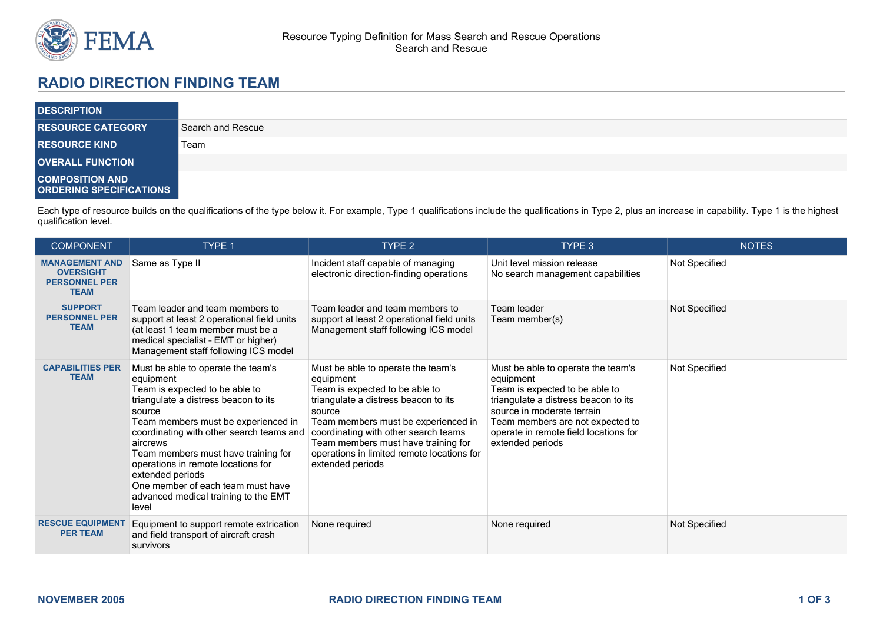

## **RADIO DIRECTION FINDING TEAM**

| <b>DESCRIPTION</b>                                       |                   |
|----------------------------------------------------------|-------------------|
| <b>RESOURCE CATEGORY</b>                                 | Search and Rescue |
| <b>RESOURCE KIND</b>                                     | Team              |
| <b>OVERALL FUNCTION</b>                                  |                   |
| <b>COMPOSITION AND</b><br><b>ORDERING SPECIFICATIONS</b> |                   |

Each type of resource builds on the qualifications of the type below it. For example, Type 1 qualifications include the qualifications in Type 2, plus an increase in capability. Type 1 is the highest qualification level.

| <b>COMPONENT</b>                                                                 | TYPE 1                                                                                                                                                                                                                                                                                                                                                                                                                    | TYPE 2                                                                                                                                                                                                                                                                                                                      | TYPE 3                                                                                                                                                                                                                                                   | <b>NOTES</b>  |
|----------------------------------------------------------------------------------|---------------------------------------------------------------------------------------------------------------------------------------------------------------------------------------------------------------------------------------------------------------------------------------------------------------------------------------------------------------------------------------------------------------------------|-----------------------------------------------------------------------------------------------------------------------------------------------------------------------------------------------------------------------------------------------------------------------------------------------------------------------------|----------------------------------------------------------------------------------------------------------------------------------------------------------------------------------------------------------------------------------------------------------|---------------|
| <b>MANAGEMENT AND</b><br><b>OVERSIGHT</b><br><b>PERSONNEL PER</b><br><b>TEAM</b> | Same as Type II                                                                                                                                                                                                                                                                                                                                                                                                           | Incident staff capable of managing<br>electronic direction-finding operations                                                                                                                                                                                                                                               | Unit level mission release<br>No search management capabilities                                                                                                                                                                                          | Not Specified |
| <b>SUPPORT</b><br><b>PERSONNEL PER</b><br><b>TEAM</b>                            | Team leader and team members to<br>support at least 2 operational field units<br>(at least 1 team member must be a<br>medical specialist - EMT or higher)<br>Management staff following ICS model                                                                                                                                                                                                                         | Team leader and team members to<br>support at least 2 operational field units<br>Management staff following ICS model                                                                                                                                                                                                       | Team leader<br>Team member(s)                                                                                                                                                                                                                            | Not Specified |
| <b>CAPABILITIES PER</b><br><b>TEAM</b>                                           | Must be able to operate the team's<br>equipment<br>Team is expected to be able to<br>triangulate a distress beacon to its<br>source<br>Team members must be experienced in<br>coordinating with other search teams and<br>aircrews<br>Team members must have training for<br>operations in remote locations for<br>extended periods<br>One member of each team must have<br>advanced medical training to the EMT<br>level | Must be able to operate the team's<br>equipment<br>Team is expected to be able to<br>triangulate a distress beacon to its<br>source<br>Team members must be experienced in<br>coordinating with other search teams<br>Team members must have training for<br>operations in limited remote locations for<br>extended periods | Must be able to operate the team's<br>equipment<br>Team is expected to be able to<br>triangulate a distress beacon to its<br>source in moderate terrain<br>Team members are not expected to<br>operate in remote field locations for<br>extended periods | Not Specified |
| <b>RESCUE EQUIPMENT</b><br><b>PER TEAM</b>                                       | Equipment to support remote extrication<br>and field transport of aircraft crash<br>survivors                                                                                                                                                                                                                                                                                                                             | None required                                                                                                                                                                                                                                                                                                               | None required                                                                                                                                                                                                                                            | Not Specified |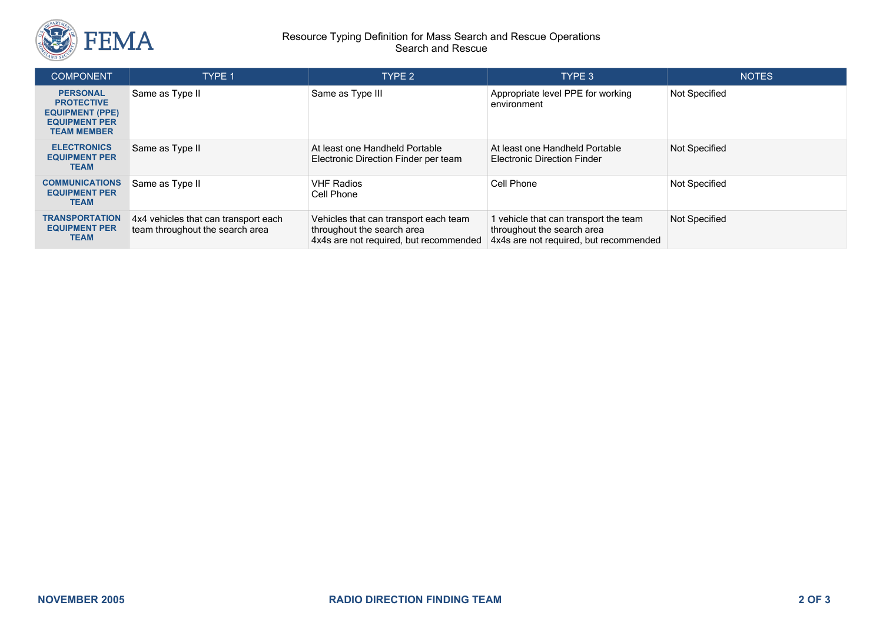

## Resource Typing Definition for Mass Search and Rescue Operations Search and Rescue

| <b>COMPONENT</b>                                                                                             | TYPE 1                                                                  | TYPE 2                                                                                                        | TYPE 3                                                                                                      | <b>NOTES</b>         |
|--------------------------------------------------------------------------------------------------------------|-------------------------------------------------------------------------|---------------------------------------------------------------------------------------------------------------|-------------------------------------------------------------------------------------------------------------|----------------------|
| <b>PERSONAL</b><br><b>PROTECTIVE</b><br><b>EQUIPMENT (PPE)</b><br><b>EQUIPMENT PER</b><br><b>TEAM MEMBER</b> | Same as Type II                                                         | Same as Type III                                                                                              | Appropriate level PPE for working<br>environment                                                            | Not Specified        |
| <b>ELECTRONICS</b><br><b>EQUIPMENT PER</b><br><b>TEAM</b>                                                    | Same as Type II                                                         | At least one Handheld Portable<br>Electronic Direction Finder per team                                        | At least one Handheld Portable<br><b>Electronic Direction Finder</b>                                        | Not Specified        |
| <b>COMMUNICATIONS</b><br><b>EQUIPMENT PER</b><br><b>TEAM</b>                                                 | Same as Type II                                                         | <b>VHF Radios</b><br>Cell Phone                                                                               | Cell Phone                                                                                                  | <b>Not Specified</b> |
| <b>TRANSPORTATION</b><br><b>EQUIPMENT PER</b><br><b>TEAM</b>                                                 | 4x4 vehicles that can transport each<br>team throughout the search area | Vehicles that can transport each team<br>throughout the search area<br>4x4s are not required, but recommended | vehicle that can transport the team<br>throughout the search area<br>4x4s are not required, but recommended | Not Specified        |